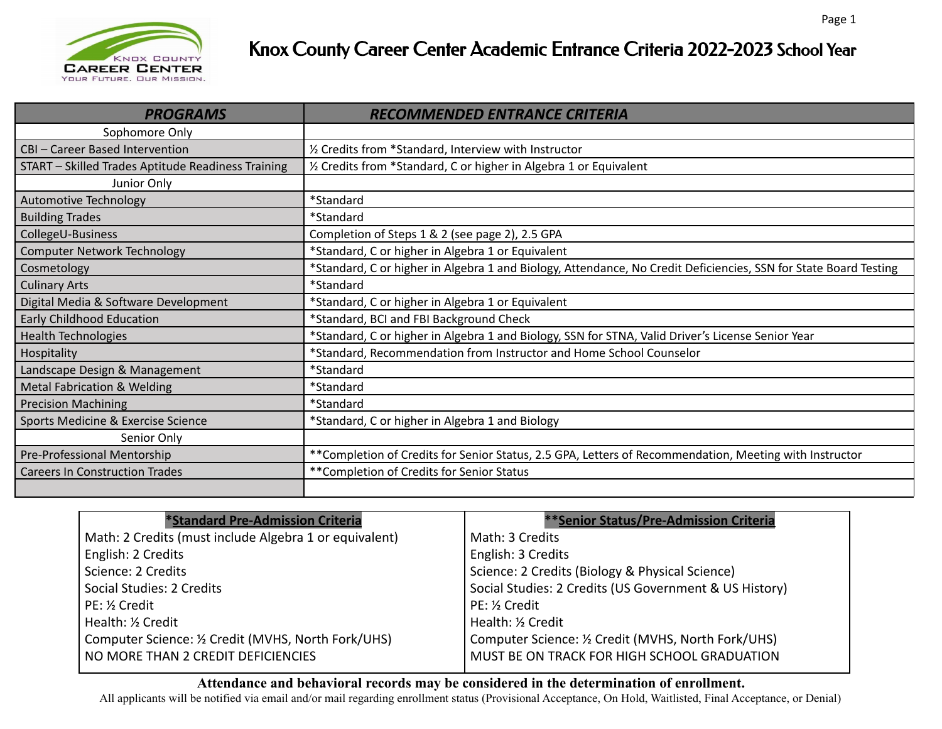

## Knox County Career Center Academic Entrance Criteria 2022-2023 School Year

| <b>PROGRAMS</b>                                    | RECOMMENDED ENTRANCE CRITERIA                                                                                    |
|----------------------------------------------------|------------------------------------------------------------------------------------------------------------------|
| Sophomore Only                                     |                                                                                                                  |
| CBI - Career Based Intervention                    | 1/2 Credits from *Standard, Interview with Instructor                                                            |
| START - Skilled Trades Aptitude Readiness Training | 1/2 Credits from *Standard, C or higher in Algebra 1 or Equivalent                                               |
| Junior Only                                        |                                                                                                                  |
| Automotive Technology                              | *Standard                                                                                                        |
| <b>Building Trades</b>                             | *Standard                                                                                                        |
| CollegeU-Business                                  | Completion of Steps 1 & 2 (see page 2), 2.5 GPA                                                                  |
| <b>Computer Network Technology</b>                 | *Standard, C or higher in Algebra 1 or Equivalent                                                                |
| Cosmetology                                        | *Standard, C or higher in Algebra 1 and Biology, Attendance, No Credit Deficiencies, SSN for State Board Testing |
| <b>Culinary Arts</b>                               | *Standard                                                                                                        |
| Digital Media & Software Development               | *Standard, C or higher in Algebra 1 or Equivalent                                                                |
| Early Childhood Education                          | *Standard, BCI and FBI Background Check                                                                          |
| <b>Health Technologies</b>                         | *Standard, C or higher in Algebra 1 and Biology, SSN for STNA, Valid Driver's License Senior Year                |
| Hospitality                                        | *Standard, Recommendation from Instructor and Home School Counselor                                              |
| Landscape Design & Management                      | *Standard                                                                                                        |
| <b>Metal Fabrication &amp; Welding</b>             | *Standard                                                                                                        |
| <b>Precision Machining</b>                         | *Standard                                                                                                        |
| Sports Medicine & Exercise Science                 | *Standard, C or higher in Algebra 1 and Biology                                                                  |
| Senior Only                                        |                                                                                                                  |
| Pre-Professional Mentorship                        | ** Completion of Credits for Senior Status, 2.5 GPA, Letters of Recommendation, Meeting with Instructor          |
| <b>Careers In Construction Trades</b>              | **Completion of Credits for Senior Status                                                                        |
|                                                    |                                                                                                                  |

| *Standard Pre-Admission Criteria                       | <b>**Senior Status/Pre-Admission Criteria</b>          |
|--------------------------------------------------------|--------------------------------------------------------|
| Math: 2 Credits (must include Algebra 1 or equivalent) | Math: 3 Credits                                        |
| English: 2 Credits                                     | English: 3 Credits                                     |
| Science: 2 Credits                                     | Science: 2 Credits (Biology & Physical Science)        |
| Social Studies: 2 Credits                              | Social Studies: 2 Credits (US Government & US History) |
| PE: 1/2 Credit                                         | PE: 1/2 Credit                                         |
| Health: 1/2 Credit                                     | Health: 1/2 Credit                                     |
| Computer Science: 1/2 Credit (MVHS, North Fork/UHS)    | Computer Science: 1/2 Credit (MVHS, North Fork/UHS)    |
| NO MORE THAN 2 CREDIT DEFICIENCIES                     | MUST BE ON TRACK FOR HIGH SCHOOL GRADUATION            |
|                                                        |                                                        |

## **Attendance and behavioral records may be considered in the determination of enrollment.**

All applicants will be notified via email and/or mail regarding enrollment status (Provisional Acceptance, On Hold, Waitlisted, Final Acceptance, or Denial)